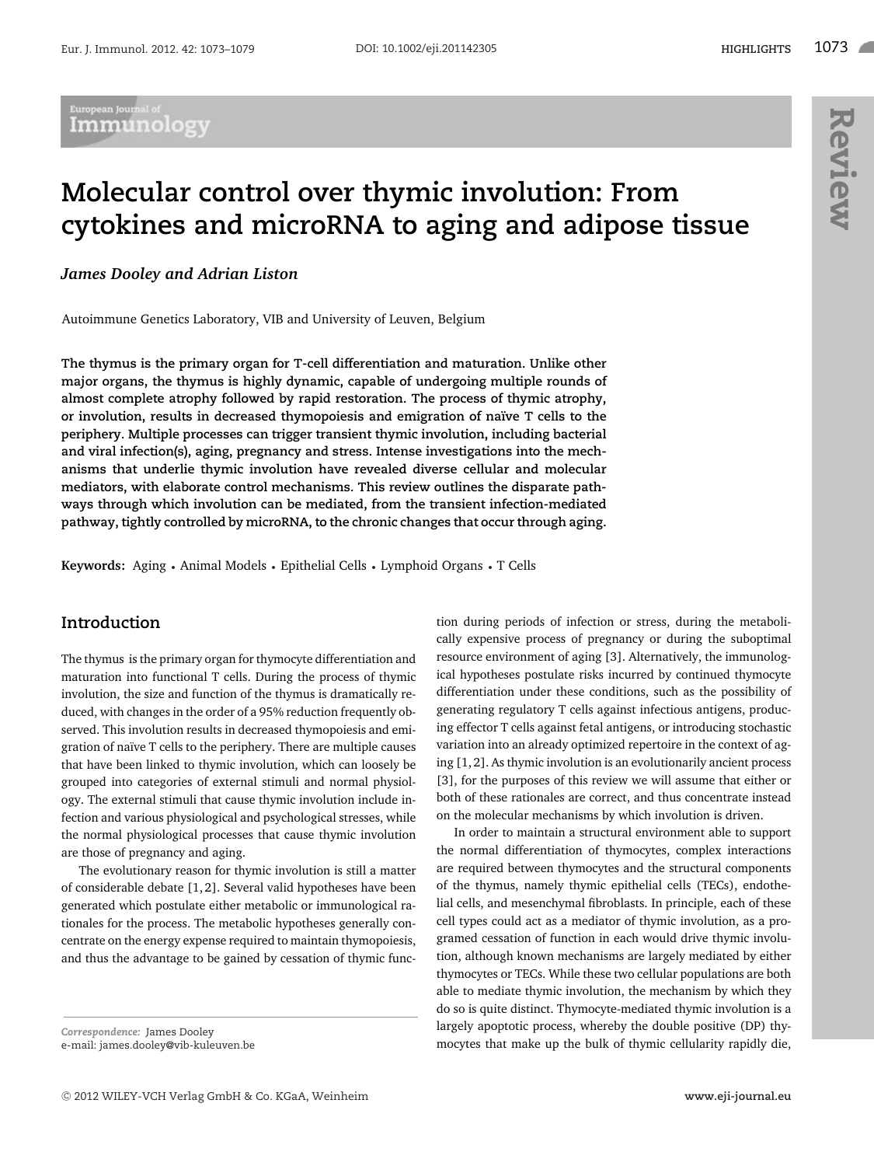# **Review**

## European Journal of<br>Immunology

### **Molecular control over thymic involution: From cytokines and microRNA to aging and adipose tissue**

*James Dooley and Adrian Liston*

Autoimmune Genetics Laboratory, VIB and University of Leuven, Belgium

**The thymus is the primary organ for T-cell differentiation and maturation. Unlike other major organs, the thymus is highly dynamic, capable of undergoing multiple rounds of almost complete atrophy followed by rapid restoration. The process of thymic atrophy, or involution, results in decreased thymopoiesis and emigration of na¨ıve T cells to the periphery. Multiple processes can trigger transient thymic involution, including bacterial and viral infection(s), aging, pregnancy and stress. Intense investigations into the mechanisms that underlie thymic involution have revealed diverse cellular and molecular mediators, with elaborate control mechanisms. This review outlines the disparate pathways through which involution can be mediated, from the transient infection-mediated pathway, tightly controlled by microRNA, to the chronic changes that occur through aging.**

Keywords: Aging · Animal Models · Epithelial Cells · Lymphoid Organs · T Cells

#### **Introduction**

The thymus is the primary organ for thymocyte differentiation and maturation into functional T cells. During the process of thymic involution, the size and function of the thymus is dramatically reduced, with changes in the order of a 95% reduction frequently observed. This involution results in decreased thymopoiesis and emigration of naïve T cells to the periphery. There are multiple causes that have been linked to thymic involution, which can loosely be grouped into categories of external stimuli and normal physiology. The external stimuli that cause thymic involution include infection and various physiological and psychological stresses, while the normal physiological processes that cause thymic involution are those of pregnancy and aging.

The evolutionary reason for thymic involution is still a matter of considerable debate [1, 2]. Several valid hypotheses have been generated which postulate either metabolic or immunological rationales for the process. The metabolic hypotheses generally concentrate on the energy expense required to maintain thymopoiesis, and thus the advantage to be gained by cessation of thymic func-

*Correspondence:* James Dooley e-mail: james.dooley@vib-kuleuven.be tion during periods of infection or stress, during the metabolically expensive process of pregnancy or during the suboptimal resource environment of aging [3]. Alternatively, the immunological hypotheses postulate risks incurred by continued thymocyte differentiation under these conditions, such as the possibility of generating regulatory T cells against infectious antigens, producing effector T cells against fetal antigens, or introducing stochastic variation into an already optimized repertoire in the context of aging [1, 2]. As thymic involution is an evolutionarily ancient process [3], for the purposes of this review we will assume that either or both of these rationales are correct, and thus concentrate instead on the molecular mechanisms by which involution is driven.

In order to maintain a structural environment able to support the normal differentiation of thymocytes, complex interactions are required between thymocytes and the structural components of the thymus, namely thymic epithelial cells (TECs), endothelial cells, and mesenchymal fibroblasts. In principle, each of these cell types could act as a mediator of thymic involution, as a programed cessation of function in each would drive thymic involution, although known mechanisms are largely mediated by either thymocytes or TECs. While these two cellular populations are both able to mediate thymic involution, the mechanism by which they do so is quite distinct. Thymocyte-mediated thymic involution is a largely apoptotic process, whereby the double positive (DP) thymocytes that make up the bulk of thymic cellularity rapidly die,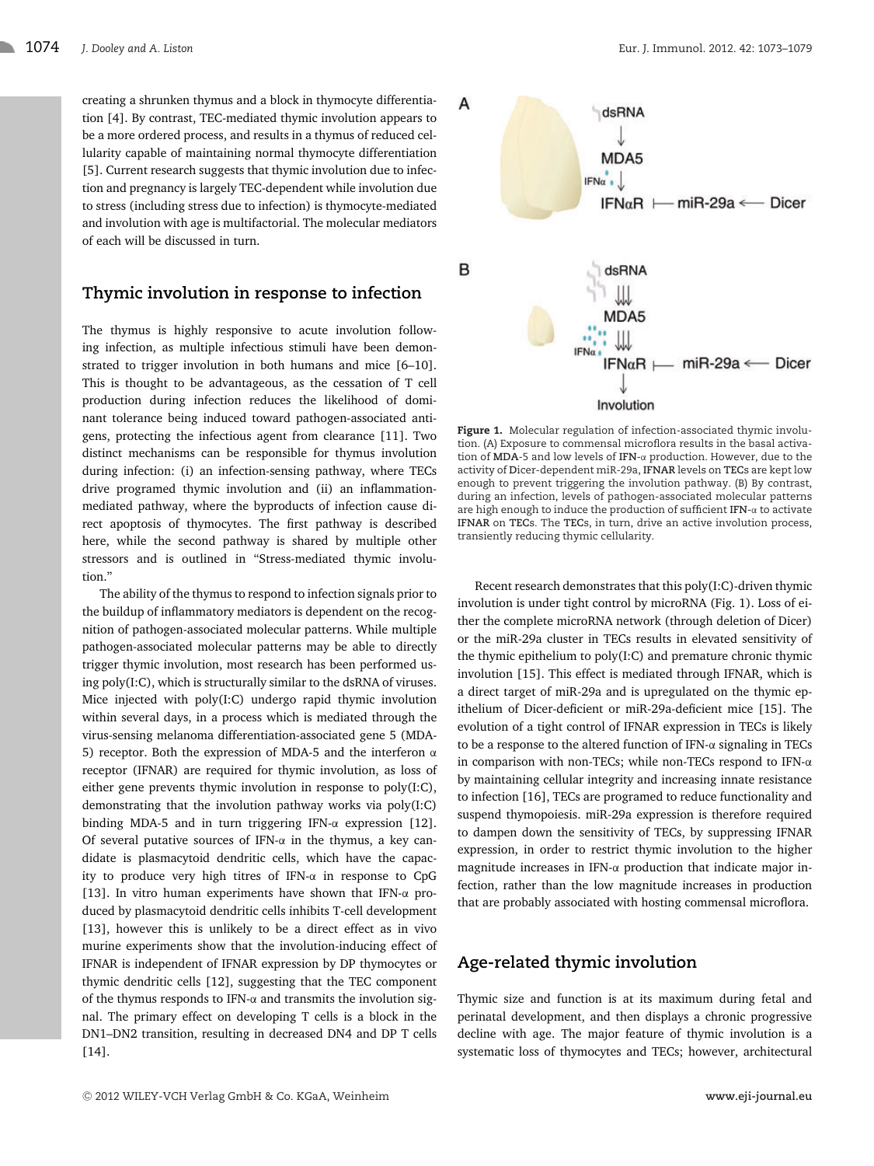creating a shrunken thymus and a block in thymocyte differentiation [4]. By contrast, TEC-mediated thymic involution appears to be a more ordered process, and results in a thymus of reduced cellularity capable of maintaining normal thymocyte differentiation [5]. Current research suggests that thymic involution due to infection and pregnancy is largely TEC-dependent while involution due to stress (including stress due to infection) is thymocyte-mediated and involution with age is multifactorial. The molecular mediators of each will be discussed in turn.

#### **Thymic involution in response to infection**

The thymus is highly responsive to acute involution following infection, as multiple infectious stimuli have been demonstrated to trigger involution in both humans and mice [6–10]. This is thought to be advantageous, as the cessation of T cell production during infection reduces the likelihood of dominant tolerance being induced toward pathogen-associated antigens, protecting the infectious agent from clearance [11]. Two distinct mechanisms can be responsible for thymus involution during infection: (i) an infection-sensing pathway, where TECs drive programed thymic involution and (ii) an inflammationmediated pathway, where the byproducts of infection cause direct apoptosis of thymocytes. The first pathway is described here, while the second pathway is shared by multiple other stressors and is outlined in "Stress-mediated thymic involution."

The ability of the thymus to respond to infection signals prior to the buildup of inflammatory mediators is dependent on the recognition of pathogen-associated molecular patterns. While multiple pathogen-associated molecular patterns may be able to directly trigger thymic involution, most research has been performed using poly(I:C), which is structurally similar to the dsRNA of viruses. Mice injected with poly(I:C) undergo rapid thymic involution within several days, in a process which is mediated through the virus-sensing melanoma differentiation-associated gene 5 (MDA-5) receptor. Both the expression of MDA-5 and the interferon α receptor (IFNAR) are required for thymic involution, as loss of either gene prevents thymic involution in response to poly(I:C), demonstrating that the involution pathway works via poly(I:C) binding MDA-5 and in turn triggering IFN-α expression [12]. Of several putative sources of IFN- $\alpha$  in the thymus, a key candidate is plasmacytoid dendritic cells, which have the capacity to produce very high titres of IFN-α in response to CpG [13]. In vitro human experiments have shown that IFN-α produced by plasmacytoid dendritic cells inhibits T-cell development [13], however this is unlikely to be a direct effect as in vivo murine experiments show that the involution-inducing effect of IFNAR is independent of IFNAR expression by DP thymocytes or thymic dendritic cells [12], suggesting that the TEC component of the thymus responds to IFN- $\alpha$  and transmits the involution signal. The primary effect on developing T cells is a block in the DN1–DN2 transition, resulting in decreased DN4 and DP T cells [14].



**Figure 1.** Molecular regulation of infection-associated thymic involution. (A) Exposure to commensal microflora results in the basal activation of **MDA**-5 and low levels of **IFN**-α production. However, due to the activity of **D**icer-dependent miR-29a, **IFNAR** levels on **TEC**s are kept low enough to prevent triggering the involution pathway. (B) By contrast, during an infection, levels of pathogen-associated molecular patterns are high enough to induce the production of sufficient **IFN**-α to activate **IFNAR** on **TEC**s. The **TEC**s, in turn, drive an active involution process, transiently reducing thymic cellularity.

Recent research demonstrates that this poly(I:C)-driven thymic involution is under tight control by microRNA (Fig. 1). Loss of either the complete microRNA network (through deletion of Dicer) or the miR-29a cluster in TECs results in elevated sensitivity of the thymic epithelium to poly(I:C) and premature chronic thymic involution [15]. This effect is mediated through IFNAR, which is a direct target of miR-29a and is upregulated on the thymic epithelium of Dicer-deficient or miR-29a-deficient mice [15]. The evolution of a tight control of IFNAR expression in TECs is likely to be a response to the altered function of IFN-α signaling in TECs in comparison with non-TECs; while non-TECs respond to IFN-α by maintaining cellular integrity and increasing innate resistance to infection [16], TECs are programed to reduce functionality and suspend thymopoiesis. miR-29a expression is therefore required to dampen down the sensitivity of TECs, by suppressing IFNAR expression, in order to restrict thymic involution to the higher magnitude increases in IFN-α production that indicate major infection, rather than the low magnitude increases in production that are probably associated with hosting commensal microflora.

#### **Age-related thymic involution**

Thymic size and function is at its maximum during fetal and perinatal development, and then displays a chronic progressive decline with age. The major feature of thymic involution is a systematic loss of thymocytes and TECs; however, architectural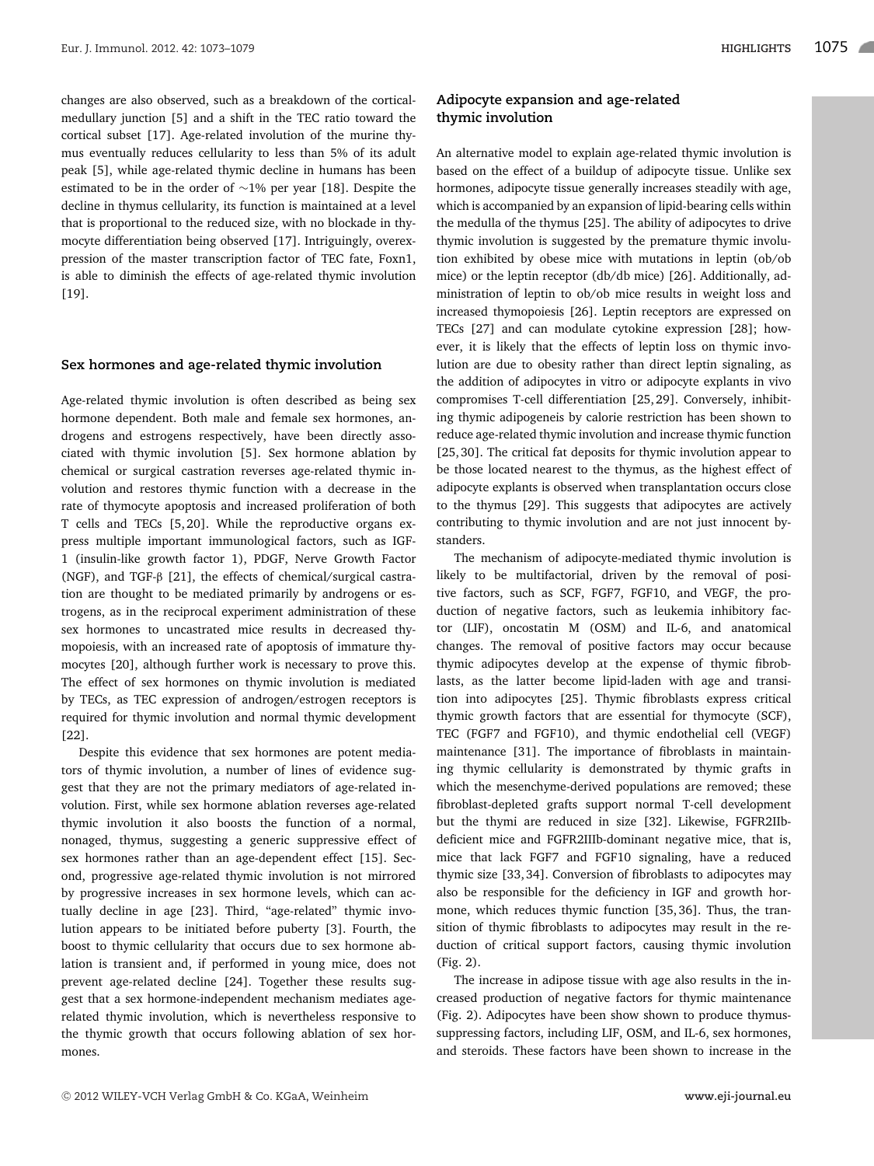changes are also observed, such as a breakdown of the corticalmedullary junction [5] and a shift in the TEC ratio toward the cortical subset [17]. Age-related involution of the murine thymus eventually reduces cellularity to less than 5% of its adult peak [5], while age-related thymic decline in humans has been estimated to be in the order of ∼1% per year [18]. Despite the decline in thymus cellularity, its function is maintained at a level that is proportional to the reduced size, with no blockade in thymocyte differentiation being observed [17]. Intriguingly, overexpression of the master transcription factor of TEC fate, Foxn1, is able to diminish the effects of age-related thymic involution [19].

#### **Sex hormones and age-related thymic involution**

Age-related thymic involution is often described as being sex hormone dependent. Both male and female sex hormones, androgens and estrogens respectively, have been directly associated with thymic involution [5]. Sex hormone ablation by chemical or surgical castration reverses age-related thymic involution and restores thymic function with a decrease in the rate of thymocyte apoptosis and increased proliferation of both T cells and TECs [5, 20]. While the reproductive organs express multiple important immunological factors, such as IGF-1 (insulin-like growth factor 1), PDGF, Nerve Growth Factor (NGF), and TGF-β [21], the effects of chemical/surgical castration are thought to be mediated primarily by androgens or estrogens, as in the reciprocal experiment administration of these sex hormones to uncastrated mice results in decreased thymopoiesis, with an increased rate of apoptosis of immature thymocytes [20], although further work is necessary to prove this. The effect of sex hormones on thymic involution is mediated by TECs, as TEC expression of androgen/estrogen receptors is required for thymic involution and normal thymic development [22].

Despite this evidence that sex hormones are potent mediators of thymic involution, a number of lines of evidence suggest that they are not the primary mediators of age-related involution. First, while sex hormone ablation reverses age-related thymic involution it also boosts the function of a normal, nonaged, thymus, suggesting a generic suppressive effect of sex hormones rather than an age-dependent effect [15]. Second, progressive age-related thymic involution is not mirrored by progressive increases in sex hormone levels, which can actually decline in age [23]. Third, "age-related" thymic involution appears to be initiated before puberty [3]. Fourth, the boost to thymic cellularity that occurs due to sex hormone ablation is transient and, if performed in young mice, does not prevent age-related decline [24]. Together these results suggest that a sex hormone-independent mechanism mediates agerelated thymic involution, which is nevertheless responsive to the thymic growth that occurs following ablation of sex hormones.

#### **Adipocyte expansion and age-related thymic involution**

An alternative model to explain age-related thymic involution is based on the effect of a buildup of adipocyte tissue. Unlike sex hormones, adipocyte tissue generally increases steadily with age, which is accompanied by an expansion of lipid-bearing cells within the medulla of the thymus [25]. The ability of adipocytes to drive thymic involution is suggested by the premature thymic involution exhibited by obese mice with mutations in leptin (ob/ob mice) or the leptin receptor (db/db mice) [26]. Additionally, administration of leptin to ob/ob mice results in weight loss and increased thymopoiesis [26]. Leptin receptors are expressed on TECs [27] and can modulate cytokine expression [28]; however, it is likely that the effects of leptin loss on thymic involution are due to obesity rather than direct leptin signaling, as the addition of adipocytes in vitro or adipocyte explants in vivo compromises T-cell differentiation [25, 29]. Conversely, inhibiting thymic adipogeneis by calorie restriction has been shown to reduce age-related thymic involution and increase thymic function [25, 30]. The critical fat deposits for thymic involution appear to be those located nearest to the thymus, as the highest effect of adipocyte explants is observed when transplantation occurs close to the thymus [29]. This suggests that adipocytes are actively contributing to thymic involution and are not just innocent bystanders.

The mechanism of adipocyte-mediated thymic involution is likely to be multifactorial, driven by the removal of positive factors, such as SCF, FGF7, FGF10, and VEGF, the production of negative factors, such as leukemia inhibitory factor (LIF), oncostatin M (OSM) and IL-6, and anatomical changes. The removal of positive factors may occur because thymic adipocytes develop at the expense of thymic fibroblasts, as the latter become lipid-laden with age and transition into adipocytes [25]. Thymic fibroblasts express critical thymic growth factors that are essential for thymocyte (SCF), TEC (FGF7 and FGF10), and thymic endothelial cell (VEGF) maintenance [31]. The importance of fibroblasts in maintaining thymic cellularity is demonstrated by thymic grafts in which the mesenchyme-derived populations are removed; these fibroblast-depleted grafts support normal T-cell development but the thymi are reduced in size [32]. Likewise, FGFR2IIbdeficient mice and FGFR2IIIb-dominant negative mice, that is, mice that lack FGF7 and FGF10 signaling, have a reduced thymic size [33, 34]. Conversion of fibroblasts to adipocytes may also be responsible for the deficiency in IGF and growth hormone, which reduces thymic function [35, 36]. Thus, the transition of thymic fibroblasts to adipocytes may result in the reduction of critical support factors, causing thymic involution (Fig. 2).

The increase in adipose tissue with age also results in the increased production of negative factors for thymic maintenance (Fig. 2). Adipocytes have been show shown to produce thymussuppressing factors, including LIF, OSM, and IL-6, sex hormones, and steroids. These factors have been shown to increase in the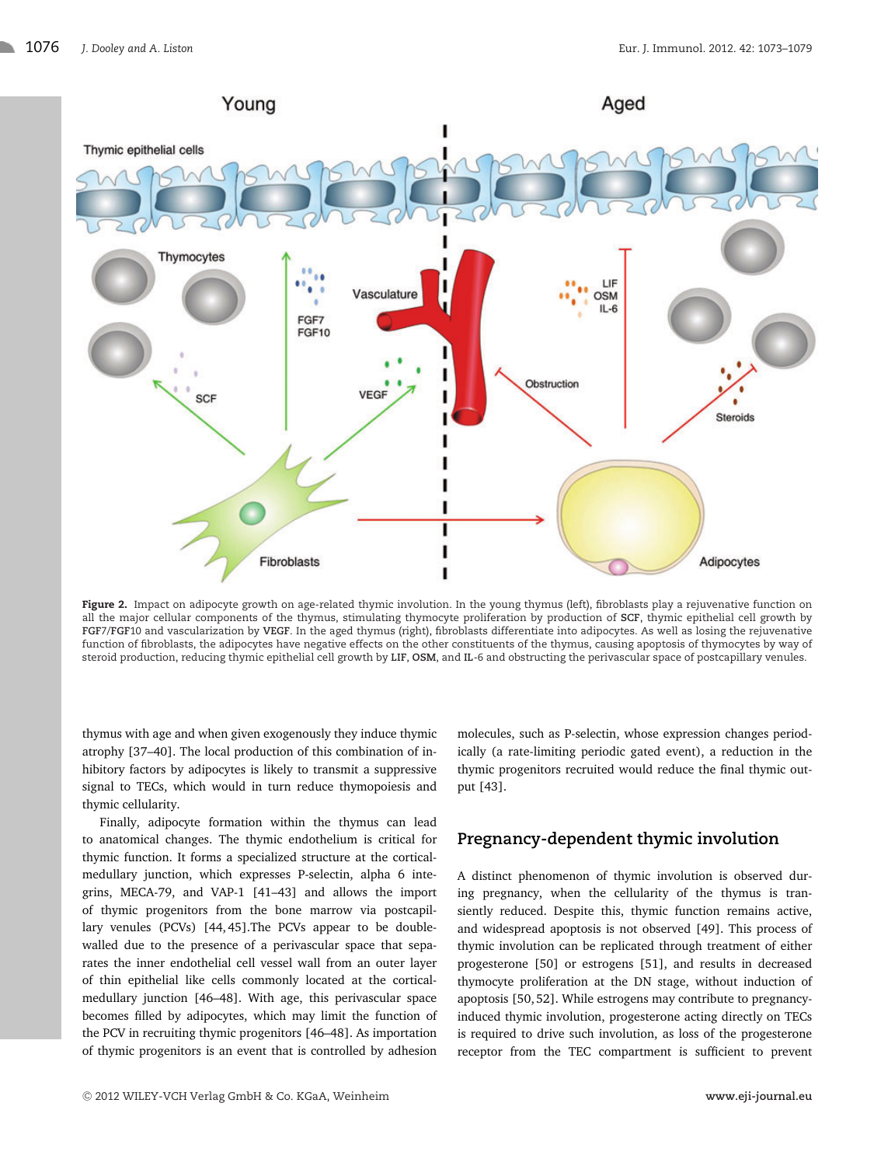

Figure 2. Impact on adipocyte growth on age-related thymic involution. In the young thymus (left), fibroblasts play a rejuvenative function on all the major cellular components of the thymus, stimulating thymocyte proliferation by production of **SCF**, thymic epithelial cell growth by **FGF**7/**FGF**10 and vascularization by **VEGF**. In the aged thymus (right), fibroblasts differentiate into adipocytes. As well as losing the rejuvenative function of fibroblasts, the adipocytes have negative effects on the other constituents of the thymus, causing apoptosis of thymocytes by way of steroid production, reducing thymic epithelial cell growth by **LIF**, **OSM**, and **IL**-6 and obstructing the perivascular space of postcapillary venules.

thymus with age and when given exogenously they induce thymic atrophy [37–40]. The local production of this combination of inhibitory factors by adipocytes is likely to transmit a suppressive signal to TECs, which would in turn reduce thymopoiesis and thymic cellularity.

Finally, adipocyte formation within the thymus can lead to anatomical changes. The thymic endothelium is critical for thymic function. It forms a specialized structure at the corticalmedullary junction, which expresses P-selectin, alpha 6 integrins, MECA-79, and VAP-1 [41–43] and allows the import of thymic progenitors from the bone marrow via postcapillary venules (PCVs) [44, 45].The PCVs appear to be doublewalled due to the presence of a perivascular space that separates the inner endothelial cell vessel wall from an outer layer of thin epithelial like cells commonly located at the corticalmedullary junction [46–48]. With age, this perivascular space becomes filled by adipocytes, which may limit the function of the PCV in recruiting thymic progenitors [46–48]. As importation of thymic progenitors is an event that is controlled by adhesion

molecules, such as P-selectin, whose expression changes periodically (a rate-limiting periodic gated event), a reduction in the thymic progenitors recruited would reduce the final thymic output [43].

#### **Pregnancy-dependent thymic involution**

A distinct phenomenon of thymic involution is observed during pregnancy, when the cellularity of the thymus is transiently reduced. Despite this, thymic function remains active, and widespread apoptosis is not observed [49]. This process of thymic involution can be replicated through treatment of either progesterone [50] or estrogens [51], and results in decreased thymocyte proliferation at the DN stage, without induction of apoptosis [50, 52]. While estrogens may contribute to pregnancyinduced thymic involution, progesterone acting directly on TECs is required to drive such involution, as loss of the progesterone receptor from the TEC compartment is sufficient to prevent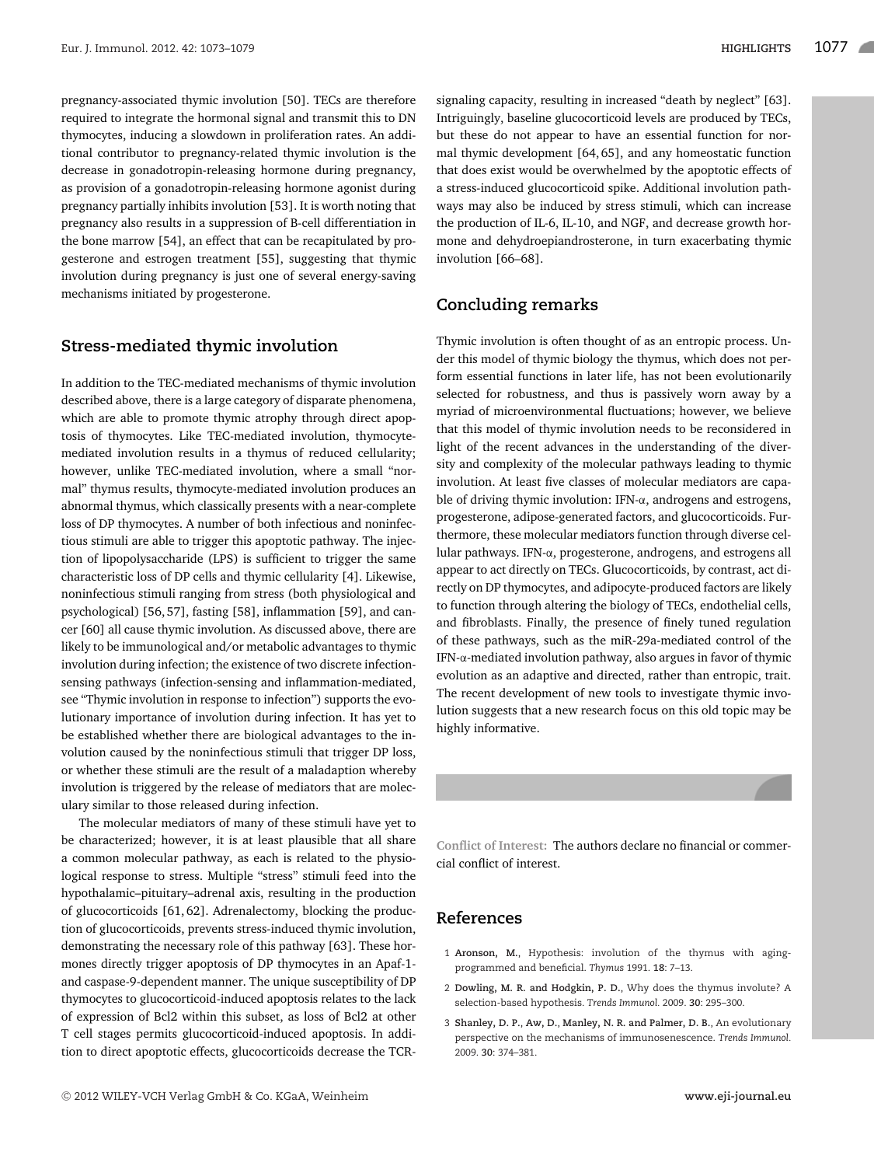pregnancy-associated thymic involution [50]. TECs are therefore required to integrate the hormonal signal and transmit this to DN thymocytes, inducing a slowdown in proliferation rates. An additional contributor to pregnancy-related thymic involution is the decrease in gonadotropin-releasing hormone during pregnancy, as provision of a gonadotropin-releasing hormone agonist during pregnancy partially inhibits involution [53]. It is worth noting that pregnancy also results in a suppression of B-cell differentiation in the bone marrow [54], an effect that can be recapitulated by progesterone and estrogen treatment [55], suggesting that thymic involution during pregnancy is just one of several energy-saving

#### **Stress-mediated thymic involution**

mechanisms initiated by progesterone.

In addition to the TEC-mediated mechanisms of thymic involution described above, there is a large category of disparate phenomena, which are able to promote thymic atrophy through direct apoptosis of thymocytes. Like TEC-mediated involution, thymocytemediated involution results in a thymus of reduced cellularity; however, unlike TEC-mediated involution, where a small "normal" thymus results, thymocyte-mediated involution produces an abnormal thymus, which classically presents with a near-complete loss of DP thymocytes. A number of both infectious and noninfectious stimuli are able to trigger this apoptotic pathway. The injection of lipopolysaccharide (LPS) is sufficient to trigger the same characteristic loss of DP cells and thymic cellularity [4]. Likewise, noninfectious stimuli ranging from stress (both physiological and psychological) [56, 57], fasting [58], inflammation [59], and cancer [60] all cause thymic involution. As discussed above, there are likely to be immunological and/or metabolic advantages to thymic involution during infection; the existence of two discrete infectionsensing pathways (infection-sensing and inflammation-mediated, see "Thymic involution in response to infection") supports the evolutionary importance of involution during infection. It has yet to be established whether there are biological advantages to the involution caused by the noninfectious stimuli that trigger DP loss, or whether these stimuli are the result of a maladaption whereby involution is triggered by the release of mediators that are moleculary similar to those released during infection.

The molecular mediators of many of these stimuli have yet to be characterized; however, it is at least plausible that all share a common molecular pathway, as each is related to the physiological response to stress. Multiple "stress" stimuli feed into the hypothalamic–pituitary–adrenal axis, resulting in the production of glucocorticoids [61, 62]. Adrenalectomy, blocking the production of glucocorticoids, prevents stress-induced thymic involution, demonstrating the necessary role of this pathway [63]. These hormones directly trigger apoptosis of DP thymocytes in an Apaf-1 and caspase-9-dependent manner. The unique susceptibility of DP thymocytes to glucocorticoid-induced apoptosis relates to the lack of expression of Bcl2 within this subset, as loss of Bcl2 at other T cell stages permits glucocorticoid-induced apoptosis. In addition to direct apoptotic effects, glucocorticoids decrease the TCR-

signaling capacity, resulting in increased "death by neglect" [63]. Intriguingly, baseline glucocorticoid levels are produced by TECs, but these do not appear to have an essential function for normal thymic development [64, 65], and any homeostatic function that does exist would be overwhelmed by the apoptotic effects of a stress-induced glucocorticoid spike. Additional involution pathways may also be induced by stress stimuli, which can increase the production of IL-6, IL-10, and NGF, and decrease growth hormone and dehydroepiandrosterone, in turn exacerbating thymic involution [66–68].

#### **Concluding remarks**

Thymic involution is often thought of as an entropic process. Under this model of thymic biology the thymus, which does not perform essential functions in later life, has not been evolutionarily selected for robustness, and thus is passively worn away by a myriad of microenvironmental fluctuations; however, we believe that this model of thymic involution needs to be reconsidered in light of the recent advances in the understanding of the diversity and complexity of the molecular pathways leading to thymic involution. At least five classes of molecular mediators are capable of driving thymic involution: IFN-α, androgens and estrogens, progesterone, adipose-generated factors, and glucocorticoids. Furthermore, these molecular mediators function through diverse cellular pathways. IFN-α, progesterone, androgens, and estrogens all appear to act directly on TECs. Glucocorticoids, by contrast, act directly on DP thymocytes, and adipocyte-produced factors are likely to function through altering the biology of TECs, endothelial cells, and fibroblasts. Finally, the presence of finely tuned regulation of these pathways, such as the miR-29a-mediated control of the IFN-α-mediated involution pathway, also argues in favor of thymic evolution as an adaptive and directed, rather than entropic, trait. The recent development of new tools to investigate thymic involution suggests that a new research focus on this old topic may be highly informative.

**Conflict of Interest:** The authors declare no financial or commercial conflict of interest.

#### **References**

- 1 **Aronson, M.**, Hypothesis: involution of the thymus with agingprogrammed and beneficial. *Thymus* 1991. **18**: 7–13.
- 2 **Dowling, M. R. and Hodgkin, P. D.**, Why does the thymus involute? A selection-based hypothesis. *Trends Immunol.* 2009. **30**: 295–300.
- 3 **Shanley, D. P.**, **Aw, D.**, **Manley, N. R. and Palmer, D. B.**, An evolutionary perspective on the mechanisms of immunosenescence. *Trends Immunol.* 2009. **30**: 374–381.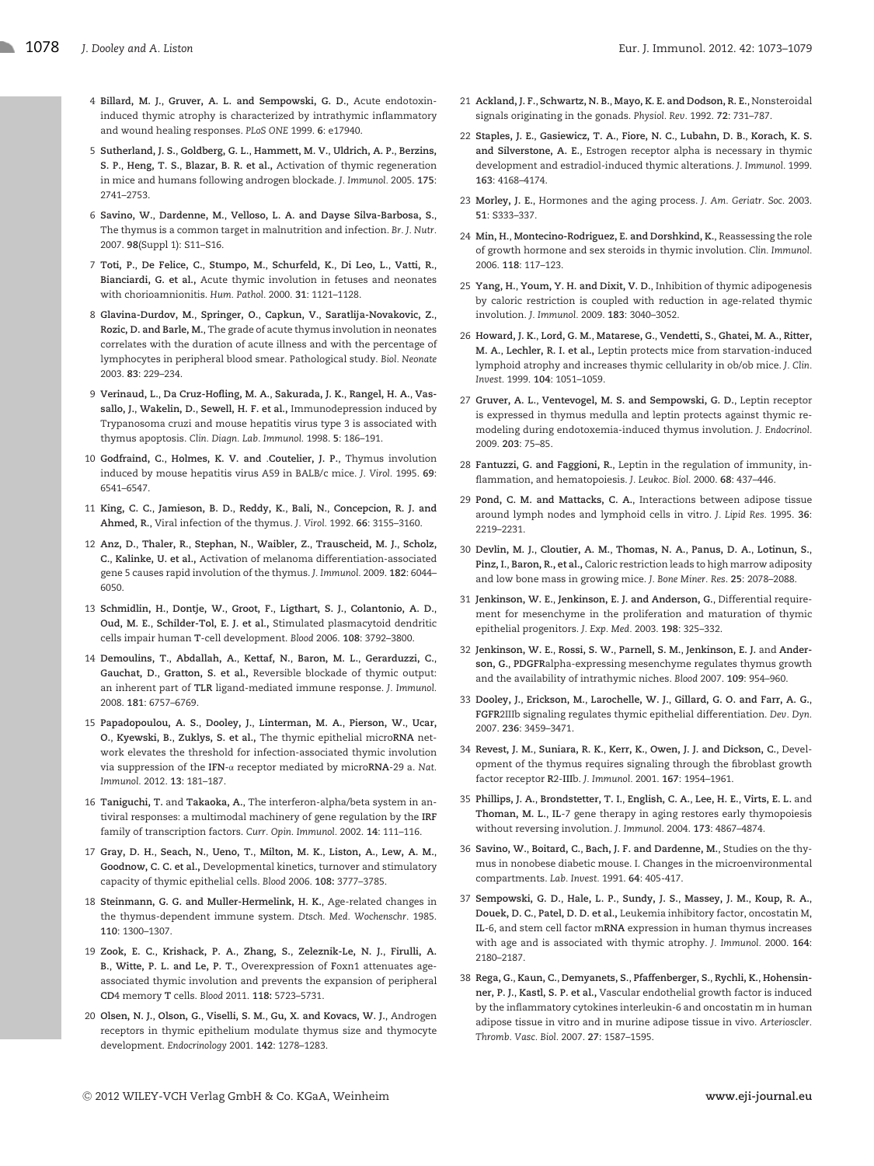- 4 **Billard, M. J.**, **Gruver, A. L. and Sempowski, G. D.**, Acute endotoxininduced thymic atrophy is characterized by intrathymic inflammatory and wound healing responses. *PLoS ONE* 1999. **6**: e17940.
- 5 **Sutherland, J. S.**, **Goldberg, G. L.**, **Hammett, M. V.**, **Uldrich, A. P.**, **Berzins, S. P.**, **Heng, T. S.**, **Blazar, B. R. et al.,** Activation of thymic regeneration in mice and humans following androgen blockade. *J. Immunol.* 2005. **175**: 2741–2753.
- 6 **Savino, W.**, **Dardenne, M.**, **Velloso, L. A. and Dayse Silva-Barbosa, S.**, The thymus is a common target in malnutrition and infection. *Br. J. Nutr.* 2007. **98**(Suppl 1): S11–S16.
- 7 **Toti, P.**, **De Felice, C.**, **Stumpo, M.**, **Schurfeld, K.**, **Di Leo, L.**, **Vatti, R.**, **Bianciardi, G. et al.,** Acute thymic involution in fetuses and neonates with chorioamnionitis. *Hum. Pathol.* 2000. **31**: 1121–1128.
- 8 **Glavina-Durdov, M.**, **Springer, O.**, **Capkun, V.**, **Saratlija-Novakovic, Z.**, **Rozic, D. and Barle, M.**, The grade of acute thymus involution in neonates correlates with the duration of acute illness and with the percentage of lymphocytes in peripheral blood smear. Pathological study. *Biol. Neonate* 2003. **83**: 229–234.
- 9 **Verinaud, L.**, **Da Cruz-Hofling, M. A.**, **Sakurada, J. K.**, **Rangel, H. A.**, **Vassallo, J.**, **Wakelin, D.**, **Sewell, H. F. et al.,** Immunodepression induced by Trypanosoma cruzi and mouse hepatitis virus type 3 is associated with thymus apoptosis. *Clin. Diagn. Lab. Immunol.* 1998. **5**: 186–191.
- 10 **Godfraind, C.**, **Holmes, K. V. and** .**Coutelier, J. P.**, Thymus involution induced by mouse hepatitis virus A59 in BALB/c mice. *J. Virol.* 1995. **69**: 6541–6547.
- 11 **King, C. C.**, **Jamieson, B. D.**, **Reddy, K.**, **Bali, N.**, **Concepcion, R. J. and Ahmed, R.**, Viral infection of the thymus. *J. Virol.* 1992. **66**: 3155–3160.
- 12 **Anz, D.**, **Thaler, R.**, **Stephan, N.**, **Waibler, Z.**, **Trauscheid, M. J.**, **Scholz, C.**, **Kalinke, U. et al.,** Activation of melanoma differentiation-associated gene 5 causes rapid involution of the thymus. *J. Immunol.* 2009. **182**: 6044– 6050.
- 13 **Schmidlin, H.**, **Dontje, W.**, **Groot, F.**, **Ligthart, S. J.**, **Colantonio, A. D.**, **Oud, M. E.**, **Schilder-Tol, E. J. et al.,** Stimulated plasmacytoid dendritic cells impair human **T**-cell development. *Blood* 2006. **108**: 3792–3800.
- 14 **Demoulins, T.**, **Abdallah, A.**, **Kettaf, N.**, **Baron, M. L.**, **Gerarduzzi, C.**, **Gauchat, D.**, **Gratton, S. et al.,** Reversible blockade of thymic output: an inherent part of **TLR** ligand-mediated immune response. *J. Immunol.* 2008. **181**: 6757–6769.
- 15 **Papadopoulou, A. S.**, **Dooley, J.**, **Linterman, M. A.**, **Pierson, W.**, **Ucar, O.**, **Kyewski, B.**, **Zuklys, S. et al.,** The thymic epithelial micro**RNA** network elevates the threshold for infection-associated thymic involution via suppression of the **IFN**-α receptor mediated by micro**RNA**-29 a. *Nat. Immunol.* 2012. **13**: 181–187.
- 16 **Taniguchi, T.** and **Takaoka, A.**, The interferon-alpha/beta system in antiviral responses: a multimodal machinery of gene regulation by the **IRF** family of transcription factors. *Curr. Opin. Immunol.* 2002. **14**: 111–116.
- 17 **Gray, D. H.**, **Seach, N.**, **Ueno, T.**, **Milton, M. K.**, **Liston, A.**, **Lew, A. M.**, **Goodnow, C. C. et al.,** Developmental kinetics, turnover and stimulatory capacity of thymic epithelial cells. *Blood* 2006. **108:** 3777–3785.
- 18 **Steinmann, G. G. and Muller-Hermelink, H. K.**, Age-related changes in the thymus-dependent immune system. *Dtsch. Med. Wochenschr.* 1985. **110**: 1300–1307.
- 19 **Zook, E. C.**, **Krishack, P. A.**, **Zhang, S.**, **Zeleznik-Le, N. J.**, **Firulli, A. B.**, **Witte, P. L. and Le, P. T.**, Overexpression of **F**oxn1 attenuates ageassociated thymic involution and prevents the expansion of peripheral **CD**4 memory **T** cells. *Blood* 2011. **118:** 5723–5731.
- 20 **Olsen, N. J.**, **Olson, G.**, **Viselli, S. M.**, **Gu, X. and Kovacs, W. J.**, Androgen receptors in thymic epithelium modulate thymus size and thymocyte development. *Endocrinology* 2001. **142**: 1278–1283.
- 21 **Ackland, J. F.**, **Schwartz, N. B.**, **Mayo, K. E. and Dodson, R. E.**, Nonsteroidal signals originating in the gonads. *Physiol. Rev.* 1992. **72**: 731–787.
- 22 **Staples, J. E.**, **Gasiewicz, T. A.**, **Fiore, N. C.**, **Lubahn, D. B.**, **Korach, K. S. and Silverstone, A. E.**, Estrogen receptor alpha is necessary in thymic development and estradiol-induced thymic alterations. *J. Immunol.* 1999. **163**: 4168–4174.
- 23 **Morley, J. E.**, Hormones and the aging process. *J. Am. Geriatr. Soc.* 2003. **51**: S333–337.
- 24 **Min, H.**, **Montecino-Rodriguez, E. and Dorshkind, K.**, Reassessing the role of growth hormone and sex steroids in thymic involution. *Clin. Immunol.* 2006. **118**: 117–123.
- 25 **Yang, H.**, **Youm, Y. H. and Dixit, V. D.**, Inhibition of thymic adipogenesis by caloric restriction is coupled with reduction in age-related thymic involution. *J. Immunol.* 2009. **183**: 3040–3052.
- 26 **Howard, J. K.**, **Lord, G. M.**, **Matarese, G.**, **Vendetti, S.**, **Ghatei, M. A.**, **Ritter, M. A.**, **Lechler, R. I. et al.,** Leptin protects mice from starvation-induced lymphoid atrophy and increases thymic cellularity in ob/ob mice. *J. Clin. Invest.* 1999. **104**: 1051–1059.
- 27 **Gruver, A. L.**, **Ventevogel, M. S. and Sempowski, G. D.**, Leptin receptor is expressed in thymus medulla and leptin protects against thymic remodeling during endotoxemia-induced thymus involution. *J. Endocrinol.* 2009. **203**: 75–85.
- 28 **Fantuzzi, G. and Faggioni, R.**, Leptin in the regulation of immunity, inflammation, and hematopoiesis. *J. Leukoc. Biol.* 2000. **68**: 437–446.
- 29 **Pond, C. M. and Mattacks, C. A.**, Interactions between adipose tissue around lymph nodes and lymphoid cells in vitro. *J. Lipid Res.* 1995. **36**: 2219–2231.
- 30 **Devlin, M. J.**, **Cloutier, A. M.**, **Thomas, N. A.**, **Panus, D. A.**, **Lotinun, S.**, **Pinz, I.**, **Baron, R., et al.,** Caloric restriction leads to high marrow adiposity and low bone mass in growing mice. *J. Bone Miner. Res*. **25**: 2078–2088.
- 31 **Jenkinson, W. E.**, **Jenkinson, E. J. and Anderson, G.**, Differential requirement for mesenchyme in the proliferation and maturation of thymic epithelial progenitors. *J. Exp. Med.* 2003. **198**: 325–332.
- 32 **Jenkinson, W. E.**, **Rossi, S. W.**, **Parnell, S. M.**, **Jenkinson, E. J.** and **Anderson, G.**, **PDGFR**alpha-expressing mesenchyme regulates thymus growth and the availability of intrathymic niches. *Blood* 2007. **109**: 954–960.
- 33 **Dooley, J.**, **Erickson, M.**, **Larochelle, W. J.**, **Gillard, G. O. and Farr, A. G.**, **FGFR**2IIIb signaling regulates thymic epithelial differentiation. *Dev. Dyn.* 2007. **236**: 3459–3471.
- 34 **Revest, J. M.**, **Suniara, R. K.**, **Kerr, K.**, **Owen, J. J. and Dickson, C.**, Development of the thymus requires signaling through the fibroblast growth factor receptor **R**2-**III**b. *J. Immunol.* 2001. **167**: 1954–1961.
- 35 **Phillips, J. A.**, **Brondstetter, T. I.**, **English, C. A.**, **Lee, H. E.**, **Virts, E. L.** and **Thoman, M. L.**, **IL**-7 gene therapy in aging restores early thymopoiesis without reversing involution. *J. Immunol.* 2004. **173**: 4867–4874.
- 36 **Savino, W.**, **Boitard, C.**, **Bach, J. F. and Dardenne, M.**, Studies on the thymus in nonobese diabetic mouse. I. Changes in the microenvironmental compartments. *Lab. Invest.* 1991. **64**: 405-417.
- 37 **Sempowski, G. D.**, **Hale, L. P.**, **Sundy, J. S.**, **Massey, J. M.**, **Koup, R. A.**, **Douek, D. C.**, **Patel, D. D. et al.,** Leukemia inhibitory factor, oncostatin M, **IL**-6, and stem cell factor m**RNA** expression in human thymus increases with age and is associated with thymic atrophy. *J. Immunol.* 2000. **164**: 2180–2187.
- 38 **Rega, G.**, **Kaun, C.**, **Demyanets, S.**, **Pfaffenberger, S.**, **Rychli, K.**, **Hohensinner, P. J.**, **Kastl, S. P. et al.,** Vascular endothelial growth factor is induced by the inflammatory cytokines interleukin-6 and oncostatin m in human adipose tissue in vitro and in murine adipose tissue in vivo. *Arterioscler. Thromb. Vasc. Biol.* 2007. **27**: 1587–1595.